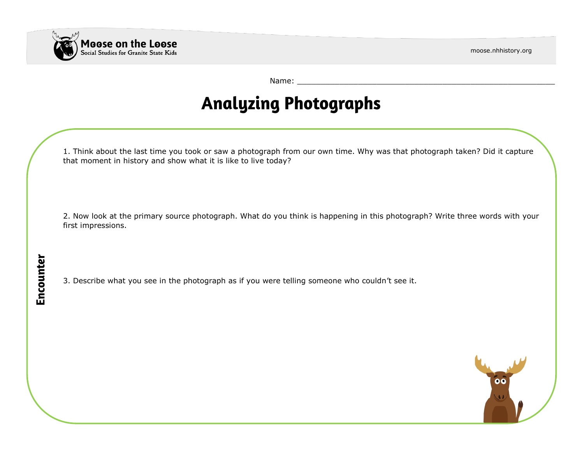$\ddot{\bullet}$ 



Encounter

Name:

# **Analyzing Photographs**

1. Think about the last time you took or saw a photograph from our own time. Why was that photograph taken? Did it capture that moment in history and show what it is like to live today?

2. Now look at the primary source photograph. What do you think is happening in this photograph? Write three words with your first impressions.

3. Describe what you see in the photograph as if you were telling someone who couldn't see it.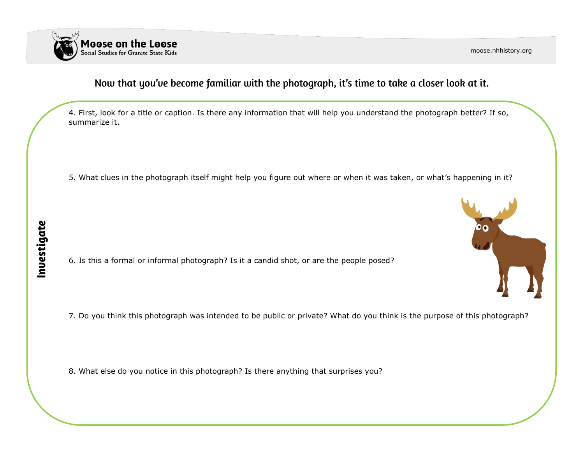

moose.nhhistory.org

00

### Now that you've become familiar with the photograph, it's time to take a closer look at it.

4. First, look for a title or caption. Is there any information that will help you understand the photograph better? If so, summarize it.

5. What clues in the photograph itself might help you figure out where or when it was taken, or what's happening in it?

6. Is this a formal or informal photograph? Is it a candid shot, or are the people posed?

7. Do you think this photograph was intended to be public or private? What do you think is the purpose of this photograph?

8. What else do you notice in this photograph? Is there anything that surprises you?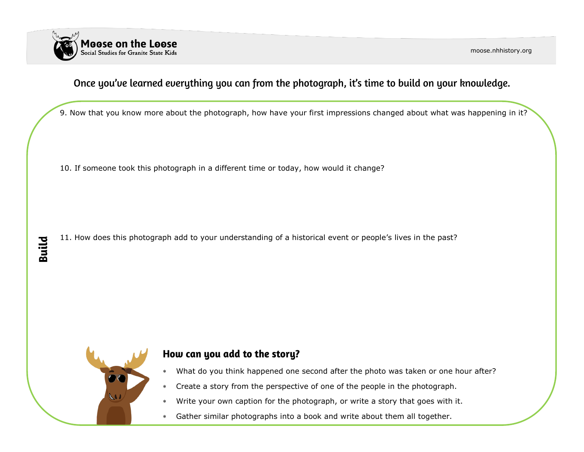

moose.nhhistory.org

### Once you've learned everything you can from the photograph, it's time to build on your knowledge.

9. Now that you know more about the photograph, how have your first impressions changed about what was happening in it?

10. If someone took this photograph in a different time or today, how would it change?

11. How does this photograph add to your understanding of a historical event or people's lives in the past?



**Build** 

#### How can you add to the story?

- What do you think happened one second after the photo was taken or one hour after?
- Create a story from the perspective of one of the people in the photograph.
- Write your own caption for the photograph, or write a story that goes with it.
- Gather similar photographs into a book and write about them all together.